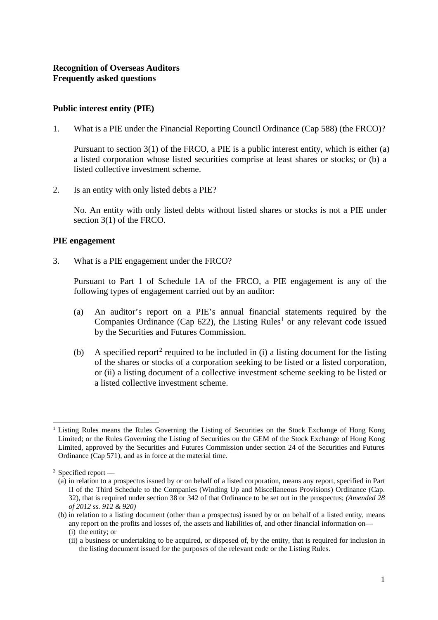## **Public interest entity (PIE)**

1. What is a PIE under the Financial Reporting Council Ordinance (Cap 588) (the FRCO)?

Pursuant to section 3(1) of the FRCO, a PIE is a public interest entity, which is either (a) a listed corporation whose listed securities comprise at least shares or stocks; or (b) a listed collective investment scheme.

2. Is an entity with only listed debts a PIE?

No. An entity with only listed debts without listed shares or stocks is not a PIE under section 3(1) of the FRCO.

#### **PIE engagement**

3. What is a PIE engagement under the FRCO?

Pursuant to Part 1 of Schedule 1A of the FRCO, a PIE engagement is any of the following types of engagement carried out by an auditor:

- (a) An auditor's report on a PIE's annual financial statements required by the Companies Ordinance (Cap  $622$ ), the Listing Rules<sup>[1](#page-0-0)</sup> or any relevant code issued by the Securities and Futures Commission.
- (b) A specified report<sup>[2](#page-0-1)</sup> required to be included in (i) a listing document for the listing of the shares or stocks of a corporation seeking to be listed or a listed corporation, or (ii) a listing document of a collective investment scheme seeking to be listed or a listed collective investment scheme.

<span id="page-0-0"></span> <sup>1</sup> Listing Rules means the Rules Governing the Listing of Securities on the Stock Exchange of Hong Kong Limited; or the Rules Governing the Listing of Securities on the GEM of the Stock Exchange of Hong Kong Limited, approved by the Securities and Futures Commission under section 24 of the Securities and Futures Ordinance (Cap 571), and as in force at the material time.

<span id="page-0-1"></span><sup>2</sup> Specified report —

<sup>(</sup>a) in relation to a prospectus issued by or on behalf of a listed corporation, means any report, specified in Part II of the Third Schedule to the Companies (Winding Up and Miscellaneous Provisions) Ordinance (Cap. 32), that is required under section 38 or 342 of that Ordinance to be set out in the prospectus; *(Amended 28 of 2012 ss. 912 & 920)*

<sup>(</sup>b) in relation to a listing document (other than a prospectus) issued by or on behalf of a listed entity, means any report on the profits and losses of, the assets and liabilities of, and other financial information on— (i) the entity; or

<sup>(</sup>ii) a business or undertaking to be acquired, or disposed of, by the entity, that is required for inclusion in the listing document issued for the purposes of the relevant code or the Listing Rules.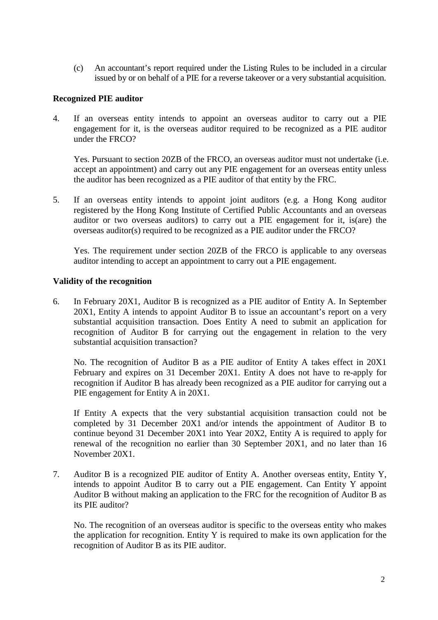(c) An accountant's report required under the Listing Rules to be included in a circular issued by or on behalf of a PIE for a reverse takeover or a very substantial acquisition.

# **Recognized PIE auditor**

4. If an overseas entity intends to appoint an overseas auditor to carry out a PIE engagement for it, is the overseas auditor required to be recognized as a PIE auditor under the FRCO?

Yes. Pursuant to section 20ZB of the FRCO, an overseas auditor must not undertake (i.e. accept an appointment) and carry out any PIE engagement for an overseas entity unless the auditor has been recognized as a PIE auditor of that entity by the FRC.

5. If an overseas entity intends to appoint joint auditors (e.g. a Hong Kong auditor registered by the Hong Kong Institute of Certified Public Accountants and an overseas auditor or two overseas auditors) to carry out a PIE engagement for it, is(are) the overseas auditor(s) required to be recognized as a PIE auditor under the FRCO?

Yes. The requirement under section 20ZB of the FRCO is applicable to any overseas auditor intending to accept an appointment to carry out a PIE engagement.

## **Validity of the recognition**

6. In February 20X1, Auditor B is recognized as a PIE auditor of Entity A. In September 20X1, Entity A intends to appoint Auditor B to issue an accountant's report on a very substantial acquisition transaction. Does Entity A need to submit an application for recognition of Auditor B for carrying out the engagement in relation to the very substantial acquisition transaction?

No. The recognition of Auditor B as a PIE auditor of Entity A takes effect in 20X1 February and expires on 31 December 20X1. Entity A does not have to re-apply for recognition if Auditor B has already been recognized as a PIE auditor for carrying out a PIE engagement for Entity A in 20X1.

If Entity A expects that the very substantial acquisition transaction could not be completed by 31 December 20X1 and/or intends the appointment of Auditor B to continue beyond 31 December 20X1 into Year 20X2, Entity A is required to apply for renewal of the recognition no earlier than 30 September 20X1, and no later than 16 November 20X1.

7. Auditor B is a recognized PIE auditor of Entity A. Another overseas entity, Entity Y, intends to appoint Auditor B to carry out a PIE engagement. Can Entity Y appoint Auditor B without making an application to the FRC for the recognition of Auditor B as its PIE auditor?

No. The recognition of an overseas auditor is specific to the overseas entity who makes the application for recognition. Entity Y is required to make its own application for the recognition of Auditor B as its PIE auditor.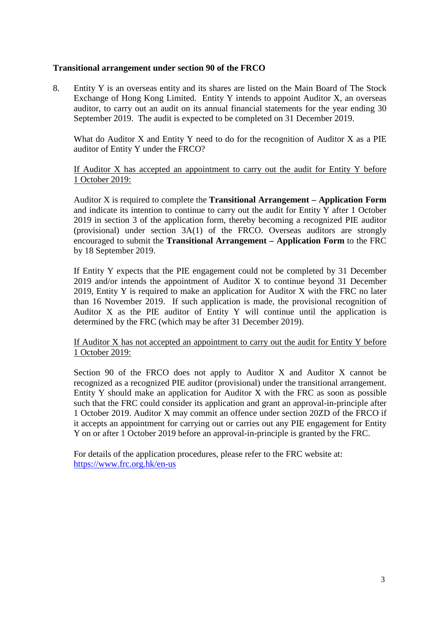## **Transitional arrangement under section 90 of the FRCO**

8. Entity Y is an overseas entity and its shares are listed on the Main Board of The Stock Exchange of Hong Kong Limited. Entity Y intends to appoint Auditor X, an overseas auditor, to carry out an audit on its annual financial statements for the year ending 30 September 2019. The audit is expected to be completed on 31 December 2019.

What do Auditor X and Entity Y need to do for the recognition of Auditor X as a PIE auditor of Entity Y under the FRCO?

If Auditor X has accepted an appointment to carry out the audit for Entity Y before 1 October 2019:

Auditor X is required to complete the **Transitional Arrangement – Application Form** and indicate its intention to continue to carry out the audit for Entity Y after 1 October 2019 in section 3 of the application form, thereby becoming a recognized PIE auditor (provisional) under section 3A(1) of the FRCO. Overseas auditors are strongly encouraged to submit the **Transitional Arrangement – Application Form** to the FRC by 18 September 2019.

If Entity Y expects that the PIE engagement could not be completed by 31 December 2019 and/or intends the appointment of Auditor X to continue beyond 31 December 2019, Entity Y is required to make an application for Auditor X with the FRC no later than 16 November 2019. If such application is made, the provisional recognition of Auditor X as the PIE auditor of Entity Y will continue until the application is determined by the FRC (which may be after 31 December 2019).

If Auditor X has not accepted an appointment to carry out the audit for Entity Y before 1 October 2019:

Section 90 of the FRCO does not apply to Auditor X and Auditor X cannot be recognized as a recognized PIE auditor (provisional) under the transitional arrangement. Entity Y should make an application for Auditor X with the FRC as soon as possible such that the FRC could consider its application and grant an approval-in-principle after 1 October 2019. Auditor X may commit an offence under section 20ZD of the FRCO if it accepts an appointment for carrying out or carries out any PIE engagement for Entity Y on or after 1 October 2019 before an approval-in-principle is granted by the FRC.

For details of the application procedures, please refer to the FRC website at: https://www.frc.org.hk/en-us